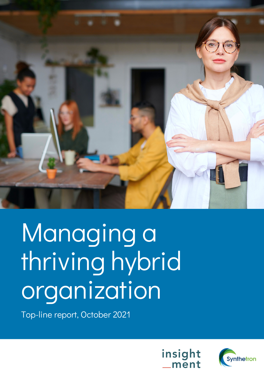

# Managing a thriving hybrid organization

Top-line report, October 2021



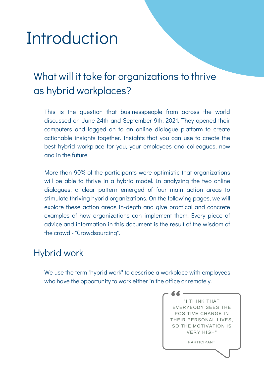# Introduction

### What will it take for organizations to thrive as hybrid workplaces?

This is the question that businesspeople from across the world discussed on June 24th and September 9th, 2021. They opened their computers and logged on to an online dialogue platform to create actionable insights together. Insights that you can use to create the best hybrid workplace for you, your employees and colleagues, now and in the future.

More than 90% of the participants were optimistic that organizations will be able to thrive in a hybrid model. In analyzing the two online dialogues, a clear pattern emerged of four main action areas to stimulate thriving hybrid organizations. On the following pages, we will explore these action areas in-depth and give practical and concrete examples of how organizations can implement them. Every piece of advice and information in this document is the result of the wisdom of the crowd - "Crowdsourcing".

### Hybrid work

We use the term "hybrid work" to describe a workplace with employees who have the opportunity to work either in the office or remotely.

> "I THINK THAT EVERYBODY SEES THE POSITIVE CHANGE IN THEIR PERSONAL LIVES, SO THE MOTIVATION IS VERY HIGH"

> > PARTICIPANT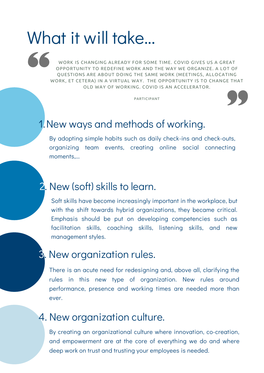# What it will take...

WORK IS CHANGING ALREADY FOR SOME TIME. COVID GIVES US A GREAT OPPORTUNITY TO REDEFINE WORK AND THE WAY WE ORGANIZE. A LOT OF QUESTIONS ARE ABOUT DOING THE SAME WORK (MEETINGS, ALLOCATING WORK, ET CETERA) IN A VIRTUAL WAY. THE OPPORTUNITY IS TO CHANGE THAT OLD WAY OF WORKING. COVID IS AN ACCELERATOR.

PARTICIPANT



### 1.New ways and methods of working.

By adopting simple habits such as daily check-ins and check-outs, organizing team events, creating online social connecting moments,...

### 2. New (soft) skills to learn.

Soft skills have become increasingly important in the workplace, but with the shift towards hybrid organizations, they became critical. Emphasis should be put on developing competencies such as facilitation skills, coaching skills, listening skills, and new management styles.

### **3**. New organization rules.

There is an acute need for redesigning and, above all, clarifying the rules in this new type of organization. New rules around performance, presence and working times are needed more than ever.

### 4. New organization culture.

By creating an organizational culture where innovation, co-creation, and empowerment are at the core of everything we do and where deep work on trust and trusting your employees is needed.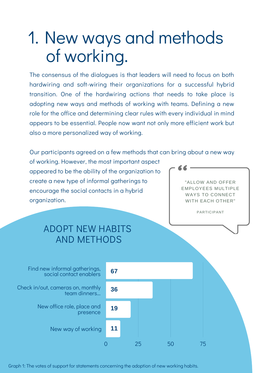# 1. New ways and methods of working.

The consensus of the dialogues is that leaders will need to focus on both hardwiring and soft-wiring their organizations for a successful hybrid transition. One of the hardwiring actions that needs to take place is adopting new ways and methods of working with teams. Defining a new role for the office and determining clear rules with every individual in mind appears to be essential. People now want not only more efficient work but also a more personalized way of working.

Our participants agreed on a few methods that can bring about a new way of working. However, the most important aspect appeared to be the ability of the organization to create a new type of informal gatherings to encourage the social contacts in a hybrid organization. "ALLOW AND OFFER EMPLOYEES MULTIPLE WAYS TO CONNECT WITH EACH OTHER"

PARTICIPANT

### ADOPT NEW HABITS AND METHODS



Graph 1: The votes of support for statements concerning the adoption of new working habits.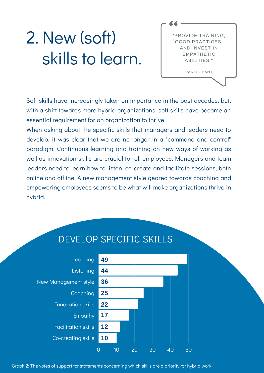# 2. New (soft) skills to learn.

"PROVIDE TRAINING, GOOD PRACTICES. AND INVEST IN EMPATHETIC ABILITIES." PARTICIPANT

Soft skills have increasingly taken on importance in the past decades, but, with a shift towards more hybrid organizations, soft skills have become an essential requirement for an organization to thrive.

When asking about the specific skills that managers and leaders need to develop, it was clear that we are no longer in a "command and control" paradigm. Continuous learning and training on new ways of working as well as innovation skills are crucial for all employees. Managers and team leaders need to learn how to listen, co-create and facilitate sessions, both online and offline. A new management style geared towards coaching and empowering employees seems to be what will make organizations thrive in hybrid.



#### Graph 2: The votes of support for statements concerning which skills are a priority for hybrid work.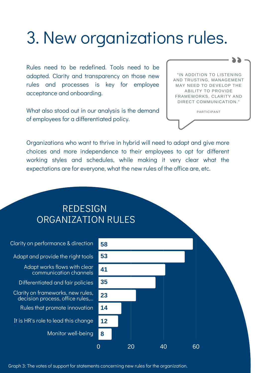# 3. New organizations rules.

Rules need to be redefined. Tools need to be adapted. Clarity and transparency on those new rules and processes is key for employee acceptance and onboarding.

What also stood out in our analysis is the demand of employees for a differentiated policy.

"IN ADDITION TO LISTENING AND TRUSTING, MANAGEMENT MAY NEED TO DEVELOP THE ABILITY TO PROVIDE FRAMEWORKS, CLARITY AND DIRECT COMMUNICATION."

PARTICIPANT

Organizations who want to thrive in hybrid will need to adapt and give more choices and more independence to their employees to opt for different working styles and schedules, while making it very clear what the expectations are for everyone, what the new rules of the office are, etc.

#### REDESIGN ORGANIZATION RULES



Graph 3: The votes of support for statements concerning new rules for the organization.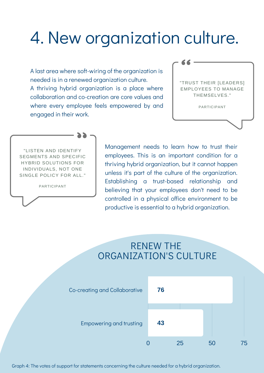### 4. New organization culture.

A last area where soft-wiring of the organization is needed is in a renewed organization culture. A thriving hybrid organization is a place where collaboration and co-creation are core values and where every employee feels empowered by and engaged in their work.

| "TRUST THEIR [LEADERS]<br><b>FMPLOYEES TO MANAGE</b><br>THEMSELVES." |  |
|----------------------------------------------------------------------|--|
| PARTICIPANT                                                          |  |

"LISTEN AND IDENTIFY SEGMENTS AND SPECIFIC HYBRID SOLUTIONS FOR INDIVIDUALS, NOT ONE SINGLE POLICY FOR ALL."

PARTICIPANT

Management needs to learn how to trust their employees. This is an important condition for a thriving hybrid organization, but it cannot happen unless it's part of the culture of the organization. Establishing a trust-based relationship and believing that your employees don't need to be controlled in a physical office environment to be productive is essential to a hybrid organization.

#### RENEW THE ORGANIZATION'S CULTURE



Graph 4: The votes of support for statements concerning the culture needed for a hybrid organization.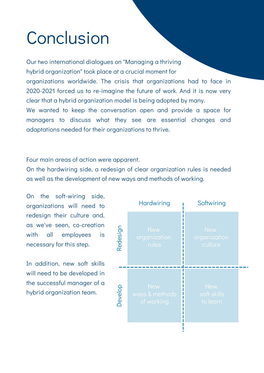# Conclusion

Our two international dialogues on "Managing a thriving hybrid organization" took place at a crucial moment for organizations worldwide. The crisis that organizations had to face in 2020-2021 forced us to re-imagine the future of work. And it is now very clear that a hybrid organization model is being adopted by many. We wanted to keep the conversation open and provide a space for managers to discuss what they see are essential changes and

Four main areas of action were apparent.

adaptations needed for their organizations to thrive.

On the hardwiring side, a redesign of clear organization rules is needed as well as the development of new ways and methods of working.

On the soft-wiring side, organizations will need to redesign their culture and, as we've seen, co-creation with all employees is necessary for this step.

In addition, new soft skills will need to be developed in the successful manager of a hybrid organization team.

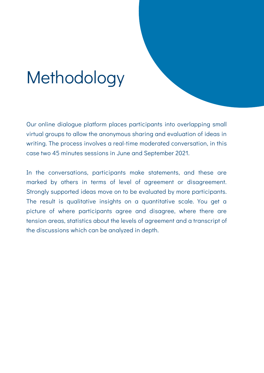# Methodology

Our online dialogue platform places participants into overlapping small virtual groups to allow the anonymous sharing and evaluation of ideas in writing. The process involves a real-time moderated conversation, in this case two 45 minutes sessions in June and September 2021.

In the conversations, participants make statements, and these are marked by others in terms of level of agreement or disagreement. Strongly supported ideas move on to be evaluated by more participants. The result is qualitative insights on a quantitative scale. You get a picture of where participants agree and disagree, where there are tension areas, statistics about the levels of agreement and a transcript of the discussions which can be analyzed in depth.